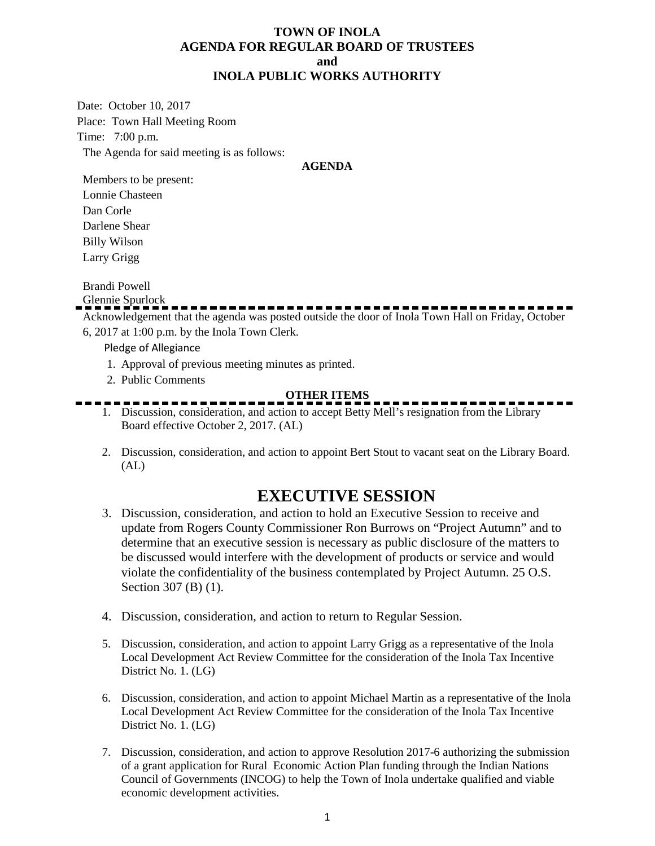## **TOWN OF INOLA AGENDA FOR REGULAR BOARD OF TRUSTEES and INOLA PUBLIC WORKS AUTHORITY**

Date: October 10, 2017 Place: Town Hall Meeting Room Time: 7:00 p.m. The Agenda for said meeting is as follows:

### **AGENDA**

Members to be present: Lonnie Chasteen Dan Corle Darlene Shear Billy Wilson Larry Grigg

Brandi Powell

Glennie Spurlock

Acknowledgement that the agenda was posted outside the door of Inola Town Hall on Friday, October 6, 2017 at 1:00 p.m. by the Inola Town Clerk.

Pledge of Allegiance

- 1. Approval of previous meeting minutes as printed.
- 2. Public Comments

## **OTHER ITEMS**

- 1. Discussion, consideration, and action to accept Betty Mell's resignation from the Library Board effective October 2, 2017. (AL)
- 2. Discussion, consideration, and action to appoint Bert Stout to vacant seat on the Library Board.  $(AL)$

# **EXECUTIVE SESSION**

- 3. Discussion, consideration, and action to hold an Executive Session to receive and update from Rogers County Commissioner Ron Burrows on "Project Autumn" and to determine that an executive session is necessary as public disclosure of the matters to be discussed would interfere with the development of products or service and would violate the confidentiality of the business contemplated by Project Autumn. 25 O.S. Section 307 (B) (1).
- 4. Discussion, consideration, and action to return to Regular Session.
- 5. Discussion, consideration, and action to appoint Larry Grigg as a representative of the Inola Local Development Act Review Committee for the consideration of the Inola Tax Incentive District No. 1. (LG)
- 6. Discussion, consideration, and action to appoint Michael Martin as a representative of the Inola Local Development Act Review Committee for the consideration of the Inola Tax Incentive District No. 1. (LG)
- 7. Discussion, consideration, and action to approve Resolution 2017-6 authorizing the submission of a grant application for Rural Economic Action Plan funding through the Indian Nations Council of Governments (INCOG) to help the Town of Inola undertake qualified and viable economic development activities.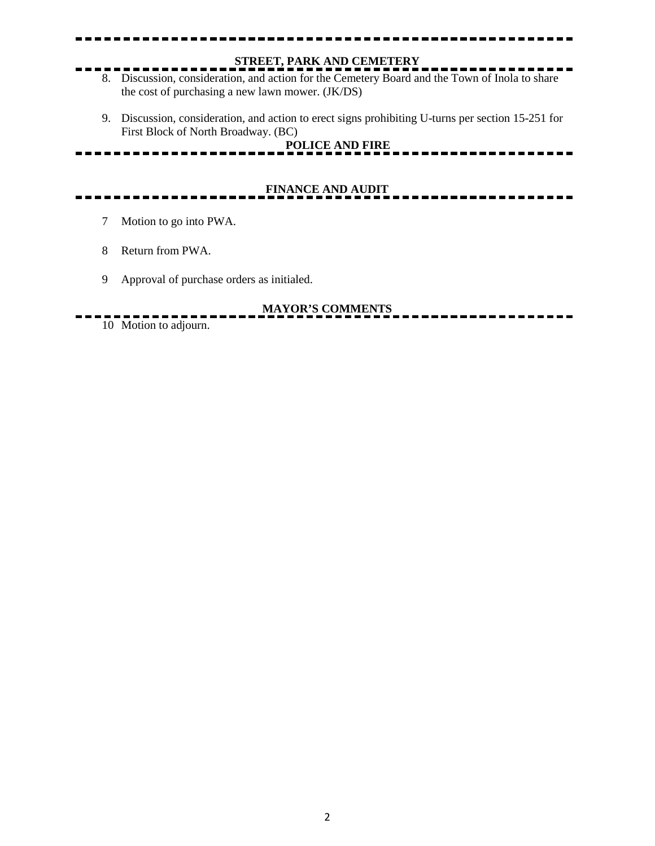# **STREET, PARK AND CEMETERY**

- 8. Discussion, consideration, and action for the Cemetery Board and the Town of Inola to share the cost of purchasing a new lawn mower. (JK/DS)
- 9. Discussion, consideration, and action to erect signs prohibiting U-turns per section 15-251 for First Block of North Broadway. (BC) **POLICE AND FIRE**

# **FINANCE AND AUDIT**

- 7 Motion to go into PWA.
- 8 Return from PWA.
- 9 Approval of purchase orders as initialed.

## **MAYOR'S COMMENTS**

. . . . . . . . 10 Motion to adjourn.